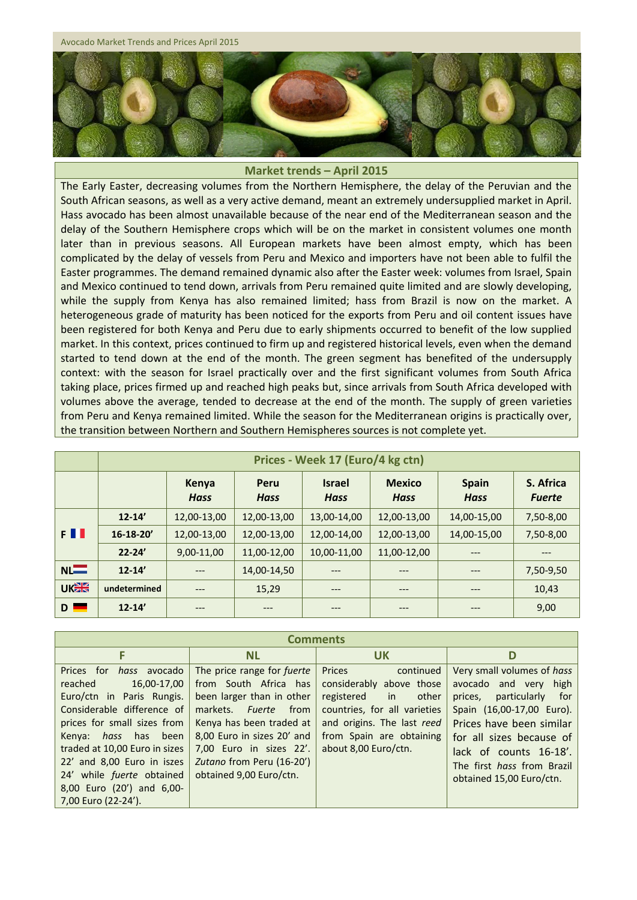Avocado Market Trends and Prices April 2015



## **Market trends – April 2015**

The Early Easter, decreasing volumes from the Northern Hemisphere, the delay of the Peruvian and the South African seasons, as well as a very active demand, meant an extremely undersupplied market in April. Hass avocado has been almost unavailable because of the near end of the Mediterranean season and the delay of the Southern Hemisphere crops which will be on the market in consistent volumes one month later than in previous seasons. All European markets have been almost empty, which has been complicated by the delay of vessels from Peru and Mexico and importers have not been able to fulfil the Easter programmes. The demand remained dynamic also after the Easter week: volumes from Israel, Spain and Mexico continued to tend down, arrivals from Peru remained quite limited and are slowly developing, while the supply from Kenya has also remained limited; hass from Brazil is now on the market. A heterogeneous grade of maturity has been noticed for the exports from Peru and oil content issues have been registered for both Kenya and Peru due to early shipments occurred to benefit of the low supplied market. In this context, prices continued to firm up and registered historical levels, even when the demand started to tend down at the end of the month. The green segment has benefited of the undersupply context: with the season for Israel practically over and the first significant volumes from South Africa taking place, prices firmed up and reached high peaks but, since arrivals from South Africa developed with volumes above the average, tended to decrease at the end of the month. The supply of green varieties from Peru and Kenya remained limited. While the season for the Mediterranean origins is practically over, the transition between Northern and Southern Hemispheres sources is not complete yet.

|             | Prices - Week 17 (Euro/4 kg ctn) |                      |                     |                              |                              |                             |                            |
|-------------|----------------------------------|----------------------|---------------------|------------------------------|------------------------------|-----------------------------|----------------------------|
|             |                                  | Kenya<br><b>Hass</b> | Peru<br><b>Hass</b> | <b>Israel</b><br><b>Hass</b> | <b>Mexico</b><br><b>Hass</b> | <b>Spain</b><br><b>Hass</b> | S. Africa<br><b>Fuerte</b> |
| FII         | $12 - 14'$                       | 12,00-13,00          | 12,00-13,00         | 13,00-14,00                  | 12,00-13,00                  | 14,00-15,00                 | 7,50-8,00                  |
|             | $16 - 18 - 20'$                  | 12,00-13,00          | 12,00-13,00         | 12,00-14,00                  | 12,00-13,00                  | 14,00-15,00                 | 7,50-8,00                  |
|             | $22 - 24'$                       | 9,00-11,00           | 11,00-12,00         | 10,00-11,00                  | 11,00-12,00                  | ---                         | $---$                      |
| $N =$       | $12 - 14'$                       | ---                  | 14,00-14,50         | $---$                        | ---                          | ---                         | 7,50-9,50                  |
| <b>UKER</b> | undetermined                     | $---$                | 15,29               | $---$                        | ---                          | ---                         | 10,43                      |
| $D =$       | $12 - 14'$                       |                      | ---                 | ---                          |                              | ---                         | 9,00                       |

| <b>Comments</b>                                                                                                                                                                                                                                                                                                                         |                                                                                                                                                                                                                                                                    |                                                                                                                                                                                                |                                                                                                                                                                                                                                                                       |  |  |  |
|-----------------------------------------------------------------------------------------------------------------------------------------------------------------------------------------------------------------------------------------------------------------------------------------------------------------------------------------|--------------------------------------------------------------------------------------------------------------------------------------------------------------------------------------------------------------------------------------------------------------------|------------------------------------------------------------------------------------------------------------------------------------------------------------------------------------------------|-----------------------------------------------------------------------------------------------------------------------------------------------------------------------------------------------------------------------------------------------------------------------|--|--|--|
| F                                                                                                                                                                                                                                                                                                                                       | <b>NL</b>                                                                                                                                                                                                                                                          | <b>UK</b>                                                                                                                                                                                      | D                                                                                                                                                                                                                                                                     |  |  |  |
| Prices for <i>hass</i> avocado<br>16,00-17,00<br>reached<br>Euro/ctn in Paris Rungis.<br>Considerable difference of<br>prices for small sizes from<br>hass<br>has been<br>Kenya:<br>traded at 10,00 Euro in sizes<br>22' and 8,00 Euro in iszes<br>24' while <i>fuerte</i> obtained<br>8,00 Euro (20') and 6,00-<br>7,00 Euro (22-24'). | The price range for fuerte<br>from South Africa has<br>been larger than in other<br><i>Fuerte</i><br>from<br>markets.<br>Kenya has been traded at<br>8,00 Euro in sizes 20' and<br>7.00 Euro in sizes 22'.<br>Zutano from Peru (16-20')<br>obtained 9,00 Euro/ctn. | Prices<br>continued<br>considerably above those<br>registered<br>in<br>other<br>countries, for all varieties<br>and origins. The last reed<br>from Spain are obtaining<br>about 8,00 Euro/ctn. | Very small volumes of hass<br>avocado and very high<br>particularly<br>prices,<br>for<br>Spain (16,00-17,00 Euro).<br>Prices have been similar<br>for all sizes because of<br>lack of counts 16-18'.<br>The first <i>hass</i> from Brazil<br>obtained 15,00 Euro/ctn. |  |  |  |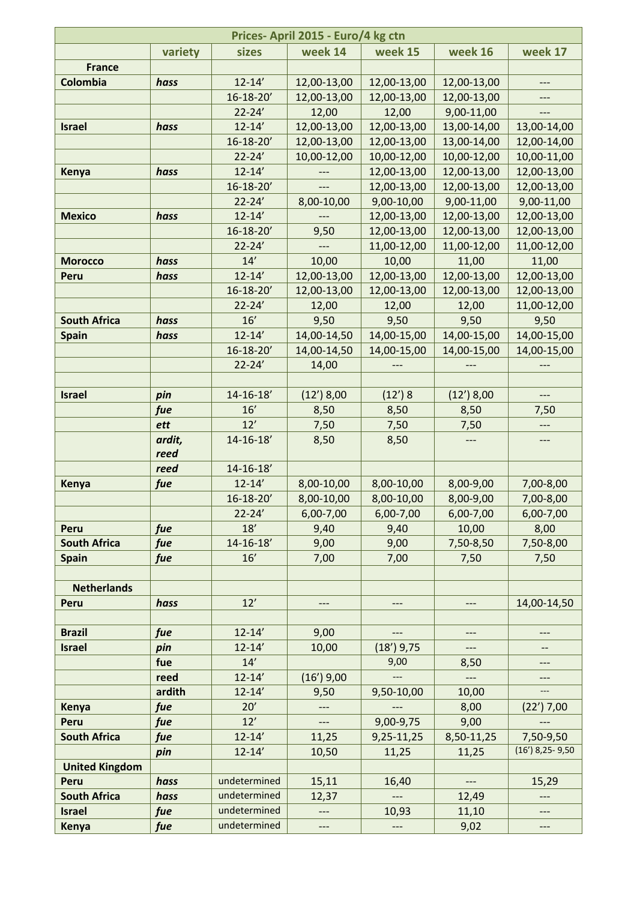| Prices-April 2015 - Euro/4 kg ctn |            |                   |              |              |                    |                   |
|-----------------------------------|------------|-------------------|--------------|--------------|--------------------|-------------------|
|                                   | variety    | sizes             | week 14      | week 15      | week 16            | week 17           |
| <b>France</b>                     |            |                   |              |              |                    |                   |
| Colombia                          | hass       | $12 - 14'$        | 12,00-13,00  | 12,00-13,00  | 12,00-13,00        | ---               |
|                                   |            | $16 - 18 - 20'$   | 12,00-13,00  | 12,00-13,00  | 12,00-13,00        |                   |
|                                   |            | $22 - 24'$        | 12,00        | 12,00        | 9,00-11,00         | ---               |
| <b>Israel</b>                     | hass       | $12 - 14'$        | 12,00-13,00  | 12,00-13,00  | 13,00-14,00        | 13,00-14,00       |
|                                   |            | $16 - 18 - 20'$   | 12,00-13,00  | 12,00-13,00  | 13,00-14,00        | 12,00-14,00       |
|                                   |            | $22 - 24'$        | 10,00-12,00  | 10,00-12,00  | 10,00-12,00        | 10,00-11,00       |
| Kenya                             | hass       | $12 - 14'$        |              | 12,00-13,00  | 12,00-13,00        | 12,00-13,00       |
|                                   |            | 16-18-20'         |              | 12,00-13,00  | 12,00-13,00        | 12,00-13,00       |
|                                   |            | $22 - 24'$        | 8,00-10,00   | 9,00-10,00   | 9,00-11,00         | 9,00-11,00        |
| <b>Mexico</b>                     | hass       | $12 - 14'$        |              | 12,00-13,00  | 12,00-13,00        | 12,00-13,00       |
|                                   |            | $16 - 18 - 20'$   | 9,50         | 12,00-13,00  | 12,00-13,00        | 12,00-13,00       |
|                                   |            | $22 - 24'$        |              | 11,00-12,00  | 11,00-12,00        | 11,00-12,00       |
| <b>Morocco</b>                    | hass       | 14'               | 10,00        | 10,00        | 11,00              | 11,00             |
| Peru                              | hass       | $12 - 14'$        | 12,00-13,00  | 12,00-13,00  | 12,00-13,00        | 12,00-13,00       |
|                                   |            | $16 - 18 - 20'$   | 12,00-13,00  | 12,00-13,00  | 12,00-13,00        | 12,00-13,00       |
|                                   |            | $22 - 24'$        | 12,00        | 12,00        | 12,00              | 11,00-12,00       |
| <b>South Africa</b>               | hass       | 16'               | 9,50         | 9,50         | 9,50               | 9,50              |
| <b>Spain</b>                      | hass       | $12 - 14'$        | 14,00-14,50  | 14,00-15,00  | 14,00-15,00        | 14,00-15,00       |
|                                   |            | $16 - 18 - 20'$   | 14,00-14,50  | 14,00-15,00  | 14,00-15,00        | 14,00-15,00       |
|                                   |            | $22 - 24'$        | 14,00        |              |                    |                   |
|                                   |            |                   |              |              |                    |                   |
| <b>Israel</b>                     | pin        | $14 - 16 - 18'$   | $(12')$ 8,00 | (12')8       | $(12')$ 8,00       | $---$             |
|                                   | fue        | 16'               | 8,50         | 8,50         | 8,50               | 7,50              |
|                                   | ett        | 12'               | 7,50         | 7,50         | 7,50               | ---               |
|                                   | ardit,     | $14 - 16 - 18'$   | 8,50         | 8,50         |                    | $---$             |
|                                   | reed       |                   |              |              |                    |                   |
|                                   | reed       | $14 - 16 - 18'$   |              |              |                    |                   |
| Kenya                             | fue        | $12 - 14'$        | 8,00-10,00   | 8,00-10,00   | 8,00-9,00          | 7,00-8,00         |
|                                   |            | $16 - 18 - 20'$   | 8,00-10,00   | 8,00-10,00   | 8,00-9,00          | 7,00-8,00         |
|                                   |            | $22 - 24'$<br>18' | $6,00-7,00$  | $6,00-7,00$  | 6,00-7,00<br>10,00 | 6,00-7,00         |
| Peru<br><b>South Africa</b>       | fue<br>fue | $14 - 16 - 18'$   | 9,40<br>9,00 | 9,40<br>9,00 | 7,50-8,50          | 8,00<br>7,50-8,00 |
| <b>Spain</b>                      | fue        | 16'               | 7,00         | 7,00         | 7,50               | 7,50              |
|                                   |            |                   |              |              |                    |                   |
| <b>Netherlands</b>                |            |                   |              |              |                    |                   |
| Peru                              | hass       | 12'               |              |              |                    | 14,00-14,50       |
|                                   |            |                   |              |              |                    |                   |
| <b>Brazil</b>                     | fue        | $12 - 14'$        | 9,00         |              |                    |                   |
| <b>Israel</b>                     | pin        | $12 - 14'$        | 10,00        | $(18')$ 9,75 | $---$              |                   |
|                                   | fue        | 14'               |              | 9,00         | 8,50               | ---               |
|                                   | reed       | $12 - 14'$        | $(16')$ 9,00 |              | $---$              |                   |
|                                   | ardith     | $12 - 14'$        | 9,50         | 9,50-10,00   | 10,00              | ---               |
| Kenya                             | fue        | 20'               | ---          |              | 8,00               | $(22')$ 7,00      |
| Peru                              | fue        | 12'               |              | 9,00-9,75    | 9,00               |                   |
| <b>South Africa</b>               | fue        | $12 - 14'$        | 11,25        | 9,25-11,25   | 8,50-11,25         | 7,50-9,50         |
|                                   | pin        | $12 - 14'$        | 10,50        | 11,25        | 11,25              | $(16')$ 8,25-9,50 |
| <b>United Kingdom</b>             |            |                   |              |              |                    |                   |
| Peru                              | hass       | undetermined      | 15,11        | 16,40        | $---$              | 15,29             |
| <b>South Africa</b>               | hass       | undetermined      | 12,37        |              | 12,49              | ---               |
| <b>Israel</b>                     | fue        | undetermined      | $---$        | 10,93        | 11,10              | $---$             |
| Kenya                             | fue        | undetermined      | ---          | ---          | 9,02               | $---$             |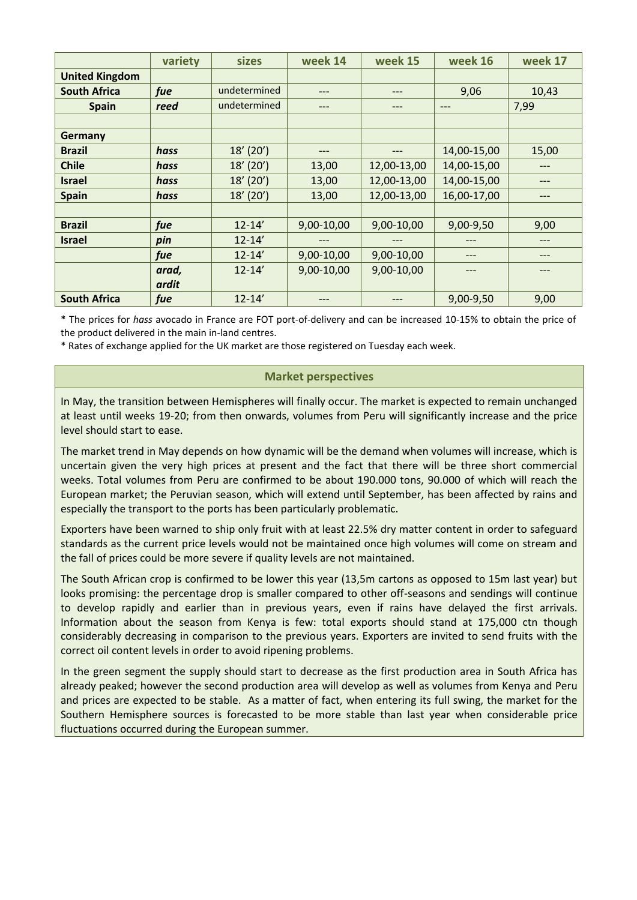|                       | variety | sizes        | week 14    | week 15     | week 16     | week 17 |
|-----------------------|---------|--------------|------------|-------------|-------------|---------|
| <b>United Kingdom</b> |         |              |            |             |             |         |
| <b>South Africa</b>   | fue     | undetermined | ---        | $---$       | 9,06        | 10,43   |
| <b>Spain</b>          | reed    | undetermined | ---        | $---$       | ---         | 7,99    |
|                       |         |              |            |             |             |         |
| Germany               |         |              |            |             |             |         |
| <b>Brazil</b>         | hass    | $18'$ (20')  | ---        |             | 14,00-15,00 | 15,00   |
| <b>Chile</b>          | hass    | $18'$ (20')  | 13,00      | 12,00-13,00 | 14,00-15,00 | ---     |
| <b>Israel</b>         | hass    | $18'$ (20')  | 13,00      | 12,00-13,00 | 14,00-15,00 | ---     |
| <b>Spain</b>          | hass    | $18'$ (20')  | 13,00      | 12,00-13,00 | 16,00-17,00 |         |
|                       |         |              |            |             |             |         |
| <b>Brazil</b>         | fue     | $12 - 14'$   | 9,00-10,00 | 9,00-10,00  | 9,00-9,50   | 9,00    |
| <b>Israel</b>         | pin     | $12 - 14'$   |            |             |             | ---     |
|                       | fue     | $12 - 14'$   | 9,00-10,00 | 9,00-10,00  | ---         | ---     |
|                       | arad,   | $12 - 14'$   | 9,00-10,00 | 9,00-10,00  |             |         |
|                       | ardit   |              |            |             |             |         |
| <b>South Africa</b>   | fue     | $12 - 14'$   |            |             | 9,00-9,50   | 9,00    |

\* The prices for *hass* avocado in France are FOT port-of-delivery and can be increased 10-15% to obtain the price of the product delivered in the main in-land centres.

\* Rates of exchange applied for the UK market are those registered on Tuesday each week.

## **Market perspectives**

In May, the transition between Hemispheres will finally occur. The market is expected to remain unchanged at least until weeks 19-20; from then onwards, volumes from Peru will significantly increase and the price level should start to ease.

The market trend in May depends on how dynamic will be the demand when volumes will increase, which is uncertain given the very high prices at present and the fact that there will be three short commercial weeks. Total volumes from Peru are confirmed to be about 190.000 tons, 90.000 of which will reach the European market; the Peruvian season, which will extend until September, has been affected by rains and especially the transport to the ports has been particularly problematic.

Exporters have been warned to ship only fruit with at least 22.5% dry matter content in order to safeguard standards as the current price levels would not be maintained once high volumes will come on stream and the fall of prices could be more severe if quality levels are not maintained.

The South African crop is confirmed to be lower this year (13,5m cartons as opposed to 15m last year) but looks promising: the percentage drop is smaller compared to other off-seasons and sendings will continue to develop rapidly and earlier than in previous years, even if rains have delayed the first arrivals. Information about the season from Kenya is few: total exports should stand at 175,000 ctn though considerably decreasing in comparison to the previous years. Exporters are invited to send fruits with the correct oil content levels in order to avoid ripening problems.

In the green segment the supply should start to decrease as the first production area in South Africa has already peaked; however the second production area will develop as well as volumes from Kenya and Peru and prices are expected to be stable. As a matter of fact, when entering its full swing, the market for the Southern Hemisphere sources is forecasted to be more stable than last year when considerable price fluctuations occurred during the European summer.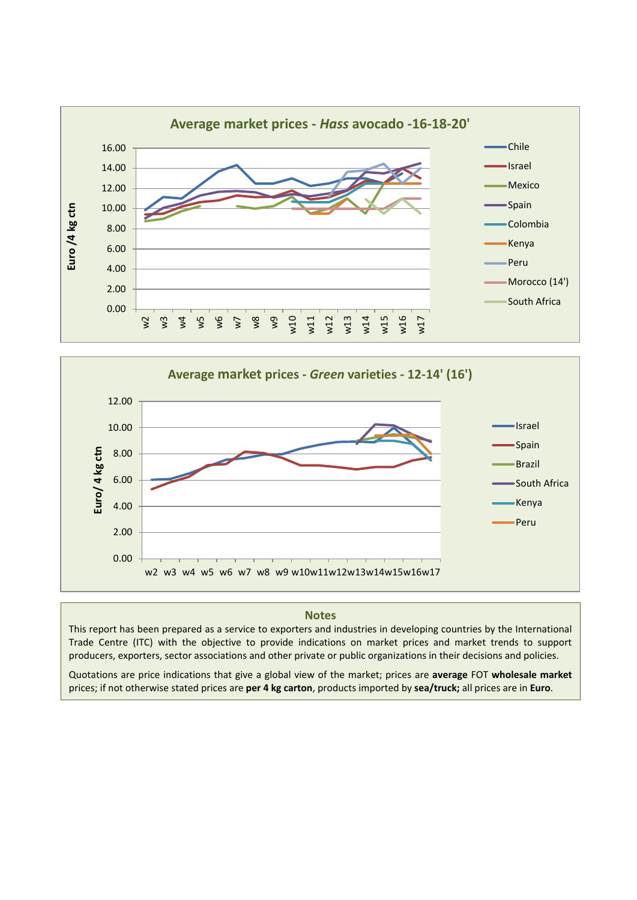



## **Notes**

This report has been prepared as a service to exporters and industries in developing countries by the International Trade Centre (ITC) with the objective to provide indications on market prices and market trends to support producers, exporters, sector associations and other private or public organizations in their decisions and policies.

Quotations are price indications that give a global view of the market; prices are **average** FOT **wholesale market** prices; if not otherwise stated prices are **per 4 kg carton**, products imported by **sea/truck;** all prices are in **Euro**.